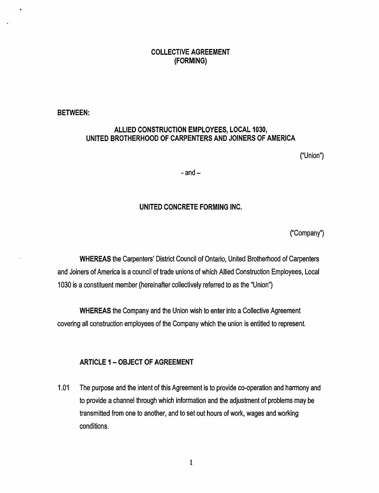# COLLECTIVE AGREEMENT (FORMING)

BETWEEN:

# ALLIED CONSTRUCTION EMPLOYEES, LOCAL 1030, UNITED BROTHERHOOD OF CARPENTERS AND JOINERS OF AMERICA

("Union")

 $-$ and $-$ 

## UNITED CONCRETE FORMING INC.

("Company")

WHEREAS the Carpenters' District Council of Ontario, United Brotherhood of Carpenters and Joiners of America is a council of trade unions of which Allied Construction Employees, Local 1030 is a constituent member (hereinafter collectively referred to as the "Union"}

WHEREAS the Company and the Union wish to enter into a Collective Agreement covering all construction employees of the Company which the union is entitled to represent.

#### ARTICLE 1 - OBJECT OF AGREEMENT

1.01 The purpose and the intent of this Agreement is to provide co-operation and harmony and to provide a channel through which information and the adjustment of problems may be transmitted from one to another, and to set out hours of work, wages and working conditions.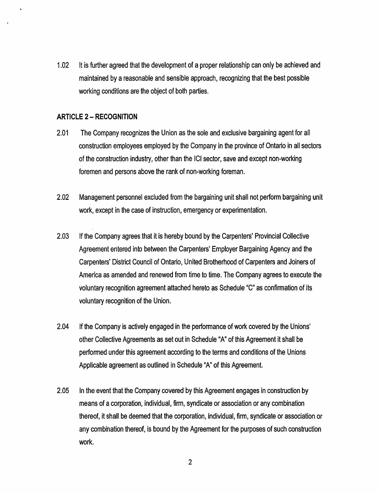1.02 It is further agreed that the development of a proper relationship can only be achieved and maintained by a reasonable and sensible approach, recognizing that the best possible working conditions are the object of both parties.

#### ARTICLE 2 - RECOGNITION

- 2.01 The Company recognizes the Union as the sole and exclusive bargaining agent for all construction employees employed by the Company in the province of Ontario in all sectors of the construction industry, other than the ICI sector, save and except non-working foremen and persons above the rank of non-working foreman.
- 2.02 Management personnel excluded from the bargaining unit shall not perform bargaining unit work, except in the case of instruction, emergency or experimentation.
- 2.03 If the Company agrees that it is hereby bound by the Carpenters' Provincial Collective Agreement entered into between the Carpenters' Employer Bargaining Agency and the Carpenters' District Council of Ontario, United Brotherhood of Carpenters and Joiners of America as amended and renewed from time to time. The Company agrees to execute the voluntary recognition agreement attached hereto as Schedule "C" as confirmation of its voluntary recognition of the Union.
- 2.04 If the Company is actively engaged in the performance of work covered by the Unions' other Collective Agreements as set out in Schedule "A" of this Agreement it shall be performed under this agreement according to the terms and conditions of the Unions Applicable agreement as outlined in Schedule "A" of this Agreement.
- 2.05 In the event that the Company covered by this Agreement engages in construction by means of a corporation, individual, firm, syndicate or association or any combination thereof, it shall be deemed that the corporation, individual, firm, syndicate or association or any combination thereof, is bound by the Agreement for the purposes of such construction work.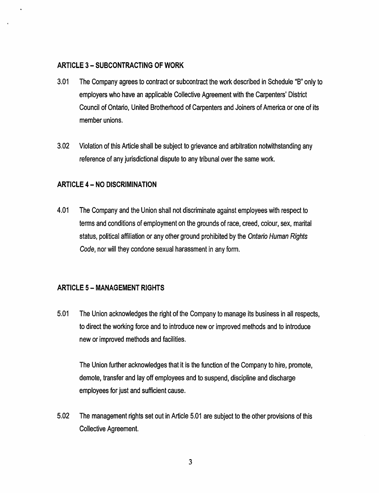# ARTICLE 3 - SUBCONTRACTING OF WORK

- 3.01 The Company agrees to contract or subcontract the work described in Schedule "B" only to employers who have an applicable Collective Agreement with the Carpenters' District Council of Ontario, United Brotherhood of Carpenters and Joiners of America or one of its member unions.
- 3.02 Violation of this Article shall be subject to grievance and arbitration notwithstanding any reference of any jurisdictional dispute to any tribunal over the same work.

# ARTICLE 4 - NO DISCRIMINATION

4.01 The Company and the Union shall not discriminate against employees with respect to terms and conditions of employment on the grounds of race, creed, colour, sex, marital status, political affiliation or any other ground prohibited by the Ontario Human Rights Code, nor will they condone sexual harassment in any form.

# ARTICLE 5- MANAGEMENT RIGHTS

5.01 The Union acknowledges the right of the Company to manage its business in all respects, to direct the working force and to introduce new or improved methods and to introduce new or improved methods and facilities.

The Union further acknowledges that it is the function of the Company to hire, promote, demote, transfer and lay off employees and to suspend, discipline and discharge employees for just and sufficient cause.

5.02 The management rights set out in Article 5.01 are subject to the other provisions of this Collective Agreement.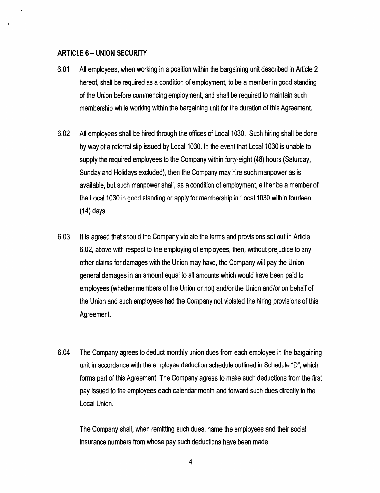#### ARTICLE 6- UNION SECURITY

- 6.01 All employees, when working in a position within the bargaining unit described in Article 2 hereof, shall be required as a condition of employment, to be a member in good standing of the Union before commencing employment, and shall be required to maintain such membership while working within the bargaining unit for the duration of this Agreement.
- 6.02 All employees shall be hired through the offices of Local 1030. Such hiring shall be done by way of a referral slip issued by Local 1030. In the event that Local 1030 is unable to supply the required employees to the Company within forty-eight (48) hours (Saturday, Sunday and Holidays excluded), then the Company may hire such manpower as is available, but such manpower shall, as a condition of employment, either be a member of the Local 1030 in good standing or apply for membership in Local 1030 within fourteen (14) days.
- 6.03 It is agreed that should the Company violate the terms and provisions set out in Article 6.02, above with respect to the employing of employees, then, without prejudice to any other claims for damages with the Union may have, the Company will pay the Union general damages in an amount equal to all amounts which would have been paid to employees (whether members of the Union or not) and/or the Union and/or on behalf of the Union and such employees had the Company not violated the hiring provisions of this Agreement.
- 6.04 The Company agrees to deduct monthly union dues from each employee in the bargaining unit in accordance with the employee deduction schedule outlined in Schedule "D", which forms part of this Agreement. The Company agrees to make such deductions from the first pay issued to the employees each calendar month and forward such dues directly to the Local Union.

The Company shall, when remitting such dues, name the employees and their social insurance numbers from whose pay such deductions have been made.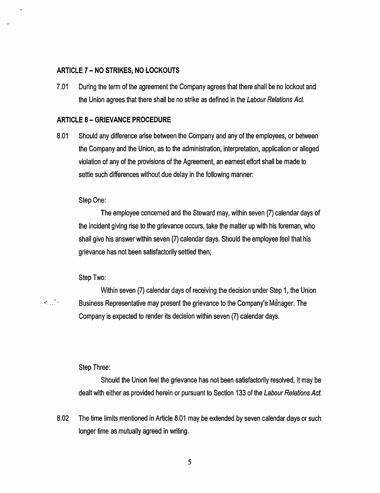## ARTICLE 7 - NO STRIKES, NO LOCKOUTS

7.01 During the term of the agreement the Company agrees that there shall be no lockout and the Union agrees that there shall be no strike as defined in the Labour Relations Act.

#### ARTICLE 8- GRIEVANCE PROCEDURE

8.01 Should any difference arise between the Company and any of the employees, or between the Company and the Union, as to the administration, interpretation, application or alleged violation of any of the provisions of the Agreement, an earnest effort shall be made to settle such differences without due delay in the following manner:

#### Step<sup>One:</sup>

The employee concerned and the Steward may, within seven (7) calendar days of the incident giving rise to the grievance occurs, take the matter up with his foreman, who shall give his answer within seven (7) calendar days. Should the employee feel that his grievance has not been satisfactorily settled then;

#### Step Two:

Within seven (7) calendar days of receiving the decision under Step 1, the Union **EXECT:** Business Representative may present the grievance to the Company's Manager. The Company is expected to render its decision within seven (7) calendar days.

#### Step Three:

Should the Union feel the grievance has not been satisfactorily resolved, it may be dealt with either as provided herein or pursuant to Section 133 of the Labour Relations Act.

8.02 The time limits mentioned in Article 8.01 may be extended by seven calendar days or such longer time as mutually agreed in writing.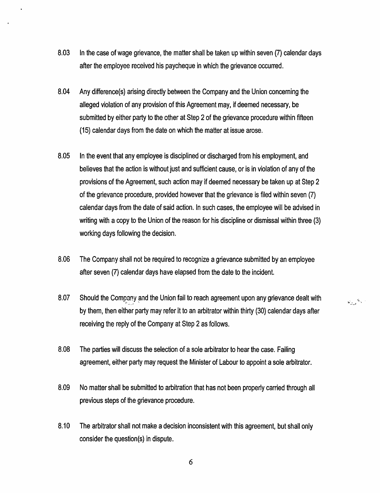- 8.03 In the case of wage grievance, the matter shall be taken up within seven (7) calendar days after the employee received his paycheque in which the grievance occurred.
- 8.04 Any difference(s) arising directly between the Company and the Union concerning the alleged violation of any provision of this Agreement may, if deemed necessary, be submitted by either party to the other at Step 2 of the grievance procedure within fifteen (15) calendar days from the date on which the matter at issue arose.
- 8.05 In the event that any employee is disciplined or discharged from his employment, and believes that the action is without just and sufficient cause, or is in violation of any of the provisions of the Agreement, such action may if deemed necessary be taken up at Step 2 of the grievance procedure, provided however that the grievance is filed within seven (7) calendar days from the date of said action. In such cases, the employee will be advised in writing with a copy to the Union of the reason for his discipline or dismissal within three (3) working days following the decision.
- 8.06 The Company shall not be required to recognize a grievance submitted by an employee after seven (7) calendar days have elapsed from the date to the incident.
- 8.07 Should the Company and the Union fail to reach agreement upon any grievance dealt with by them, then either party may refer it to an arbitrator within thirty (30) calendar days after receiving the reply of the Company at Step 2 as follows.

الي<sup>عا</sup>لي ونو

- 8.08 The parties will discuss the selection of a sole arbitrator to hear the case. Failing agreement, either party may request the Minister of Labour to appoint a sole arbitrator.
- 8.09 No matter shall be submitted to arbitration that has not been properly carried through all previous steps of the grievance procedure.
- 8.10 The arbitrator shall not make a decision inconsistent with this agreement, but shall only consider the question(s) in dispute.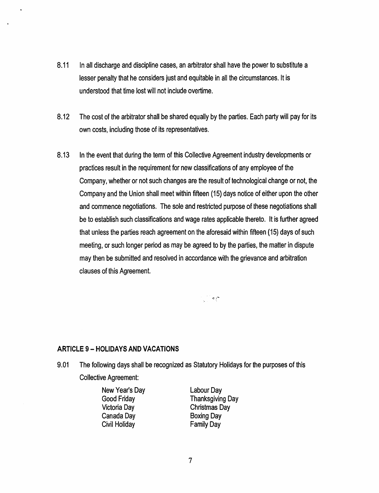- 8.11 In all discharge and discipline cases, an arbitrator shall have the power to substitute a lesser penalty that he considers just and equitable in all the circumstances. It is understood that time lost will not include overtime.
- 8.12 The cost of the arbitrator shall be shared equally by the parties. Each party will pay for its own costs, including those of its representatives.
- 8.13 In the event that during the term of this Collective Agreement industry developments or practices result in the requirement for new classifications of any employee of the Company, whether or not such changes are the result of technological change or not, the Company and the Union shall meet within fifteen (15) days notice of either upon the other and commence negotiations. The sole and restricted purpose of these negotiations shall be to establish such classifications and wage rates applicable thereto. It is further agreed that unless the parties reach agreement on the aforesaid within fifteen (15) days of such meeting, or such longer period as may be agreed to by the parties, the matter in dispute may then be submitted and resolved in accordance with the grievance and arbitration clauses of this Agreement.

 $\frac{1}{2}$  ,  $\frac{1}{2}$  ,  $\frac{1}{2}$ 

#### **ARTICLE 9 - HOLIDAYS AND VACATIONS**

9.01 The following days shall be recognized as Statutory Holidays for the purposes of this Collective Agreement:

> New Year's Day Good Friday Victoria Day Canada Day Civil Holiday

Labour Day Thanksgiving Day Christmas Day Boxing Day Family Day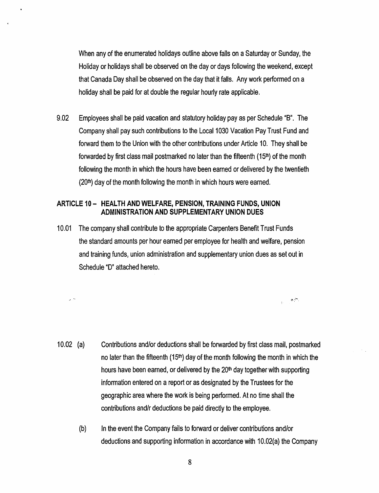When any of the enumerated holidays outline above falls on a Saturday or Sunday, the Holiday or holidays shall be observed on the day or days following the weekend, except that Canada Day shall be observed on the day that it falls. Any work performed on a holiday shall be paid for at double the regular hourly rate applicable.

9.02 Employees shall be paid vacation and statutory holiday pay as per Schedule "B". The Company shall pay such contributions to the Local 1030 Vacation Pay Trust Fund and forward them to the Union with the other contributions under Article 10. They shall be forwarded by first class mail postmarked no later than the fifteenth  $(15<sup>th</sup>)$  of the month following the month in which the hours have been earned or delivered by the twentieth  $(20<sup>th</sup>)$  day of the month following the month in which hours were earned.

## ARTICLE 10 - HEALTH AND WELFARE, PENSION, TRAINING FUNDS, UNION ADMINISTRATION AND SUPPLEMENTARY UNION DUES

 $\sim$   $\sim$ 

10.01 The company shall contribute to the appropriate Carpenters Benefit Trust Funds the standard amounts per hour earned per employee for health and welfare, pension and training funds, union administration and supplementary union dues as set out in Schedule "D" attached hereto.

10.02 (a) Contributions and/or deductions shall be forwarded by first class mail, postmarked no later than the fifteenth  $(15<sup>th</sup>)$  day of the month following the month in which the hours have been earned, or delivered by the 20<sup>th</sup> day together with supporting information entered on a report or as designated by the Trustees for the geographic area where the work is being performed. At no time shall the contributions and/r deductions be paid directly to the employee.

*.::-.* ... --.

(b) In the event the Company fails to forward or deliver contributions and/or deductions and supporting information in accordance with 10.02(a) the Company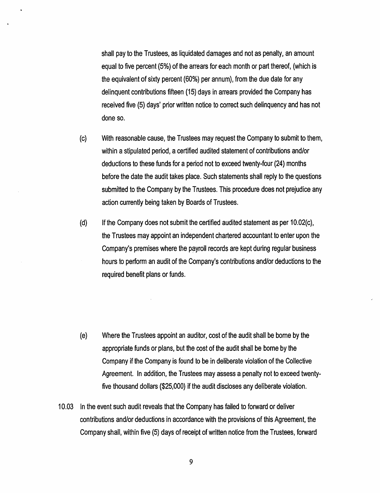shall pay to the Trustees, as liquidated damages and not as penalty, an amount equal to five percent (5%) of the arrears for each month or part thereof, (which is the equivalent of sixty percent (60%) per annum), from the due date for any delinquent contributions fifteen (15) days in arrears provided the Company has received five (5) days' prior written notice to correct such delinquency and has not done so.

- (c) With reasonable cause, the Trustees may request the Company to submit to them, within a stipulated period, a certified audited statement of contributions and/or deductions to these funds for a period not to exceed twenty-four (24) months before the date the audit takes place. Such statements shall reply to the questions submitted to the Company by the Trustees. This procedure does not prejudice any action currently being taken by Boards of Trustees.
- $(d)$  If the Company does not submit the certified audited statement as per 10.02 $(c)$ , the Trustees may appoint an independent chartered accountant to enter upon the Company's premises where the payroll records are kept during regular business hours to perform an audit of the Company's contributions and/or deductions to the required benefit plans or funds.

- (e) Where the Trustees appoint an auditor, cost of the audit shall be borne by the appropriate funds or plans, but the cost of the audit shall be borne by the Company if the Company is found to be in deliberate violation of the Collective Agreement. In addition, the Trustees may assess a penalty not to exceed twentyfive thousand dollars (\$25,000) if the audit discloses any deliberate violation.
- 10.03 In the event such audit reveals that the Company has failed to forward or deliver contributions and/or deductions in accordance with the provisions of this Agreement, the Company shall, within five (5) days of receipt of written notice from the Trustees, forward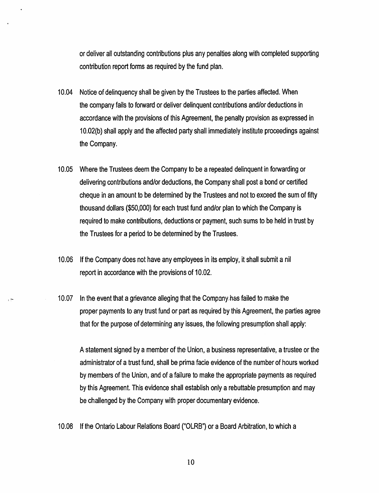or deliver all outstanding contributions plus any penalties along with completed supporting contribution report forms as required by the fund plan.

- 10.04 Notice of delinquency shall be given by the Trustees to the parties affected. When the company fails to forward or deliver delinquent contributions and/or deductions in accordance with the provisions of this Agreement, the penalty provision as expressed in 10.02(b) shall apply and the affected party shall immediately institute proceedings against the Company.
- 10.05 Where the Trustees deem the Company to be a repeated delinquent in forwarding or delivering contributions and/or deductions, the Company shall post a bond or certified cheque in an amount to be determined by the Trustees and not to exceed the sum of fifty thousand dollars (\$50,000) for each trust fund and/or plan to which the Company is required to make contributions, deductions or payment, such sums to be held in trust by the Trustees for a period to be determined by the Trustees.
- 10.06 If the Company does not have any employees in its employ, it shall submit a nil report in accordance with the provisions of 10.02.
- 10.07 In the event that a grievance alleging that the Company has failed to make the proper payments to any trust fund or part as required by this Agreement, the parties agree that for the purpose of determining any issues, the following presumption shall apply:

A statement signed by a member of the Union, a business representative, a trustee or the administrator of a trust fund, shall be prima facie evidence of the number of hours worked by members of the Union, and of a failure to make the appropriate payments as required by this Agreement. This evidence shall establish only a rebuttable presumption and may be challenged by the Company with proper documentary evidence.

10.08 If the Ontario Labour Relations Board ("OLRB") or a Board Arbitration, to which a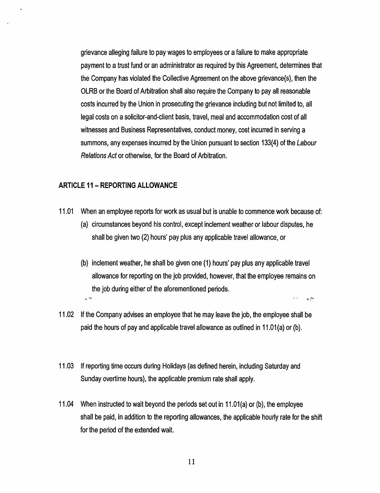grievance alleging failure to pay wages to employees or a failure to make appropriate payment to a trust fund or an administrator as required by this Agreement, determines that the Company has violated the Collective Agreement on the above grievance(s), then the OLRB or the Board of Arbitration shall also require the Company to pay all reasonable costs incurred by the Union in prosecuting the grievance including but not limited to, all legal costs on a solicitor-and-client basis, travel, meal and accommodation cost of all witnesses and Business Representatives, conduct money, cost incurred in serving a summons, any expenses incurred by the Union pursuant to section 133(4) of the Labour Relations Act or otherwise, for the Board of Arbitration.

#### **ARTICLE 11- REPORTING ALLOWANCE**

- 11.01 When an employee reports for work as usual but is unable to commence work because of:
	- (a) circumstances beyond his control, except inclement weather or labour disputes, he shall be given two (2) hours' pay plus any applicable travel allowance, or
	- (b) inclement weather, he shall be given one (1) hours' pay plus any applicable travel allowance for reporting on the job provided, however, that the employee remains on the job during either of the aforementioned periods. A.S. A She during online of the distribution of periods.
- 11.02 If the Company advises an employee that he may leave the job, the employee shall be paid the hours of pay and applicable travel allowance as outlined in 11.01 (a) or (b).
- 11.03 If reporting time occurs during Holidays (as defined herein, including Saturday and Sunday overtime hours), the applicable premium rate shall apply.
- 11.04 When instructed to wait beyond the periods set out in 11.01 (a) or (b), the employee shall be paid, in addition to the reporting allowances, the applicable hourly rate for the shift for the period of the extended wait.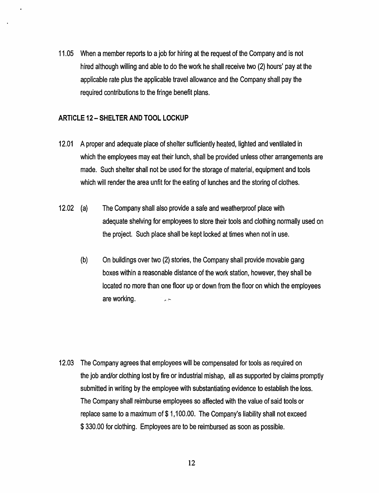11.05 When a member reports to a job for hiring at the request of the Company and is not hired although willing and able to do the work he shall receive two (2) hours' pay at the applicable rate plus the applicable travel allowance and the Company shall pay the required contributions to the fringe benefit plans.

## **ARTICLE 12- SHELTER AND TOOL LOCKUP**

- 12.01 A proper and adequate place of shelter sufficiently heated, lighted and ventilated in which the employees may eat their lunch, shall be provided unless other arrangements are made. Such shelter shall not be used for the storage of material, equipment and tools which will render the area unfit for the eating of lunches and the storing of clothes.
- 12.02 {a} The Company shall also provide a safe and weatherproof place with adequate shelving for employees to store their tools and clothing normally used on the project. Such place shall be kept locked at times when not in use.
	- {b) On buildings over two {2) stories, the Company shall provide movable gang boxes within a reasonable distance of the work station, however, they shall be located no more than one floor up or down from the floor on which the employees are working.  $\sim$

12.03 The Company agrees that employees will be compensated for tools as required on the job and/or clothing lost by fire or industrial mishap, all as supported by claims promptly submitted in writing by the employee with substantiating evidence to establish the loss. The Company shall reimburse employees so affected with the value of said tools or replace same to a maximum of \$1,100.00. The Company's liability shall not exceed \$ 330.00 for clothing. Employees are to be reimbursed as soon as possible.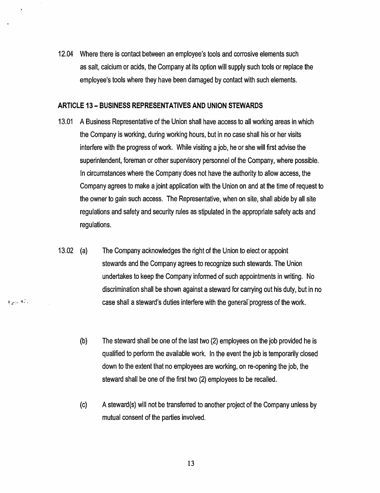12.04 Where there is contact between an employee's tools and corrosive elements such as salt, calcium or acids, the Company at its option will supply such tools or replace the employee's tools where they have been damaged by contact with such elements.

#### ARTICLE 13- BUSINESS REPRESENTATIVES AND UNION STEWARDS

- 13.01 A Business Representative of the Union shall have access to all working areas in which the Company is working, during working hours, but in no case shall his or her visits interfere with the progress of work. While visiting a job, he or she will first advise the superintendent, foreman or other supervisory personnel of the Company, where possible. In circumstances where the Company does not have the authority to allow access, the Company agrees to make a joint application with the Union on and at the time of request to the owner to gain such access. The Representative, when on site, shall abide by all site regulations and safety and security rules as stipulated in the appropriate safety acts and regulations.
- 13.02 (a) The Company acknowledges the right of the Union to elect or appoint stewards and the Company agrees to recognize such stewards. The Union undertakes to keep the Company informed of such appointments in writing. No discrimination shall be shown against a steward for carrying out his duty, but in no case shall a steward's duties interfere with the general progress of the work.

 $\tilde{\tau}_{\mathscr{E}}(\cdot | 4\tilde{\cdot})$ 

- (b) The steward shall be one of the last two (2) employees on the job provided he is qualified to perform the available work. In the event the job is temporarily closed down to the extent that no employees are working, on re-opening the job, the steward shall be one of the first two (2) employees to be recalled.
- (c) A steward(s) will not be transferred to another project of the Company unless by mutual consent of the parties involved.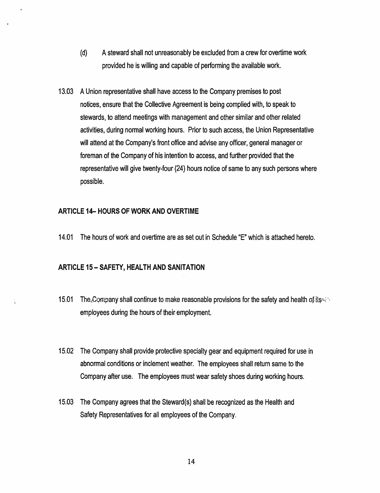- (d) A steward shall not unreasonably be excluded from a crew for overtime work provided he is willing and capable of performing the available work.
- 13.03 A Union representative shall have access to the Company premises to post notices, ensure that the Collective Agreement is being complied with, to speak to stewards, to attend meetings with management and other similar and other related activities, during normal working hours. Prior to such access, the Union Representative will attend at the Company's front office and advise any officer, general manager or foreman of the Company of his intention to access, and further provided that the representative will give twenty-four (24) hours notice of same to any such persons where possible.

#### ARTICLE 14- HOURS OF WORK AND OVERTIME

14.01 The hours of work and overtime are as set out in Schedule "E" which is attached hereto.

## ARTICLE 15- SAFETY, HEALTH AND SANITATION

- 15.01 The Company shall continue to make reasonable provisions for the safety and health of  $i$ ts  $\sim$ . employees during the hours of their employment.
- 15.02 The Company shall provide protective specialty gear and equipment required for use in abnormal conditions or inclement weather. The employees shall return same to the Company after use. The employees must wear safety shoes during working hours.
- 15.03 The Company agrees that the Steward(s) shall be recognized as the Health and Safety Representatives for all employees of the Company.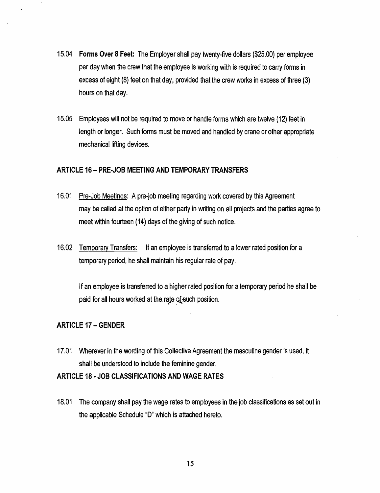- 15.04 Forms Over 8 Feet: The Employer shall pay twenty-five dollars (\$25.00) per employee per day when the crew that the employee is working with is required to carry forms in excess of eight (8) feet on that day, provided that the crew works in excess of three (3) hours on that day.
- 15.05 Employees will not be required to move or handle forms which are twelve (12) feet in length or longer. Such forms must be moved and handled by crane or other appropriate mechanical lifting devices.

## ARTICLE 16- PRE-JOB MEETING AND TEMPORARY TRANSFERS

- 16.01 Pre-Job Meetings: A pre-job meeting regarding work covered by this Agreement may be called at the option of either party in writing on all projects and the parties agree to meet within fourteen {14) days of the giving of such notice.
- 16.02 Temporary Transfers: If an employee is transferred to a lower rated position for a temporary period, he shall maintain his regular rate of pay.

If an employee is transferred to a higher rated position for a temporary period he shall be paid for all hours worked at the rate of such position.

# ARTICLE 17- GENDER

17.01 Wherever in the wording of this Collective Agreement the masculine gender is used, it shall be understood to include the feminine gender.

## ARTICLE 18 ·JOB CLASSIFICATIONS AND WAGE RATES

18.01 The company shall pay the wage rates to employees in the job classifications as set out in the applicable Schedule "D'' which is attached hereto.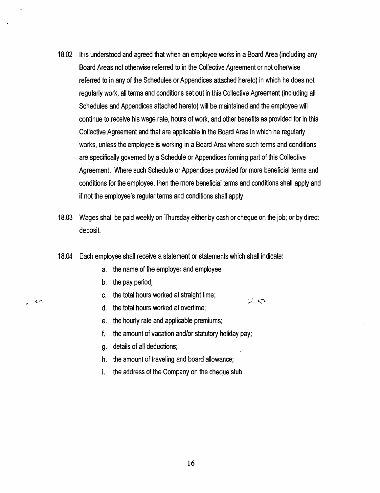- 18.02 It is understood and agreed that when an employee works in a Board Area (including any Board Areas not otherwise referred to in the Collective Agreement or not otherwise referred to in any of the Schedules or Appendices attached hereto) in which he does not regularly work, all terms and conditions set out in this Collective Agreement (including all Schedules and Appendices attached hereto) will be maintained and the employee will continue to receive his wage rate, hours of work, and other benefits as provided for in this Collective Agreement and that are applicable in the Board Area in which he regularly works, unless the employee is working in a Board Area where such terms and conditions are specifically governed by a Schedule or Appendices forming part of this Collective Agreement. Where such Schedule or Appendices provided for more beneficial terms and conditions for the employee, then the more beneficial terms and conditions shall apply and if not the employee's regular terms and conditions shall apply.
- 18.03 Wages shall be paid weekly on Thursday either by cash or cheque on the job; or by direct deposit.

 $\frac{1}{2}$ 

- 18.04 Each employee shall receive a statement or statements which shall indicate:
	- a. the name of the employer and employee
	- b. the pay period;

 $\mathbf{c}$  .

- c. the total hours worked at straight time;
- d. the total hours worked at overtime;
- e. the hourly rate and applicable premiums;
- f. the amount of vacation and/or statutory holiday pay;
- g. details of all deductions;
- h. the amount of traveling and board allowance;
- i. the address of the Company on the cheque stub.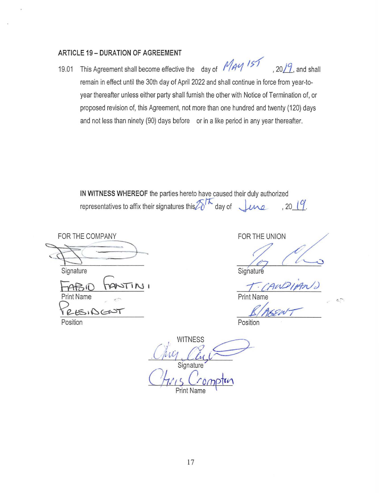# **ARTICLE 19- DURATION OF AGREEMENT**

19.01 This Agreement shall become effective the day of *May 151*, 2019, and shall remain in effect until the 30th day of April 2022 and shall continue in force from year-toyear thereafter unless either party shall furnish the other with Notice of Termination of, or proposed revision of, this Agreement, not more than one hundred and twenty (120) days and not less than ninety (90) days before or in a like period in any year thereafter.

**IN WITNESS WHEREOF** the parties hereto have caused their duly authorized representatives to affix their signatures this  $\mathbb{Z}^{\uparrow\mathcal{K}}$  day of  $\downarrow$   $\mu$ ne , 20  $\downarrow$  (9.

**Signature** FOR THE COMPANY ' 9- FABIO FANTINI T-CANDIAN) Print Name

 $RESiDCDT$ Position **Position** 

FOR THE UNION  $\frac{1}{\pi}$  ( $\frac{1}{\pi}$ )

 $\sim$  .

Print Nam

 $2/16.221$ 

**WITNESS Signature** *( 1 Hris Crompton*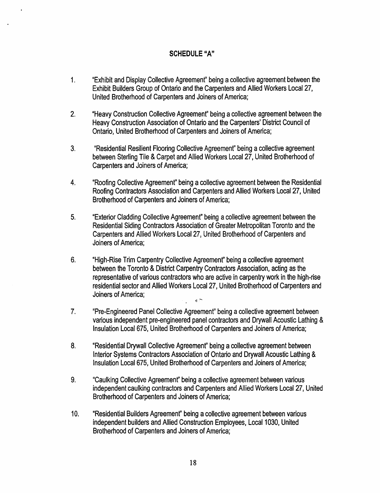# **SCHEDULE"A"**

- 1. "Exhibit and Display Collective Agreement" being a collective agreement between the Exhibit Builders Group of Ontario and the Carpenters and Allied Workers Local27, United Brotherhood of Carpenters and Joiners of America;
- 2. "Heavy Construction Collective Agreemenf' being a collective agreement between the Heavy Construction Association of Ontario and the Carpenters' District Council of Ontario, United Brotherhood of Carpenters and Joiners of America;
- 3. "Residential Resilient Flooring Collective Agreemenf' being a collective agreement between Sterling Tile & Carpet and Allied Workers Local27, United Brotherhood of Carpenters and Joiners of America;
- 4. "Roofing Collective Agreement" being a collective agreement between the Residential Roofing Contractors Association and Carpenters and Allied Workers Local27, United Brotherhood of Carpenters and Joiners of America;
- 5. "Exterior Cladding Collective Agreement" being a collective agreement between the Residential Siding Contractors Association of Greater Metropolitan Toronto and the Carpenters and Allied Workers Local27, United Brotherhood of Carpenters and Joiners of America;
- 6. "High-Rise Trim Carpentry Collective Agreement" being a collective agreement between the Toronto & District Carpentry Contractors Association, acting as the representative of various contractors who are active in carpentry work in the high-rise residential sector and Allied Workers Local27, United Brotherhood of Carpenters and Joiners of America;  $\epsilon$   $\bar{\gamma}$
- 7. "Pre-Engineered Panel Collective Agreement" being a collective agreement between various independent pre-engineered panel contractors and Drywall Acoustic Lathing & Insulation Local675, United Brotherhood of Carpenters and Joiners of America;
- 8. "Residential Drywall Collective Agreemenf' being a collective agreement between Interior Systems Contractors Association of Ontario and Drywall Acoustic Lathing & Insulation Local 675, United Brotherhood of Carpenters and Joiners of America;
- 9. "Caulking Collective Agreemenf' being a collective agreement between various independent caulking contractors and Carpenters and Allied Workers Local27, United Brotherhood of Carpenters and Joiners of America;
- 10. "Residential Builders Agreement" being a collective agreement between various independent builders and Allied Construction Employees, Local 1030, United Brotherhood of Carpenters and Joiners of America;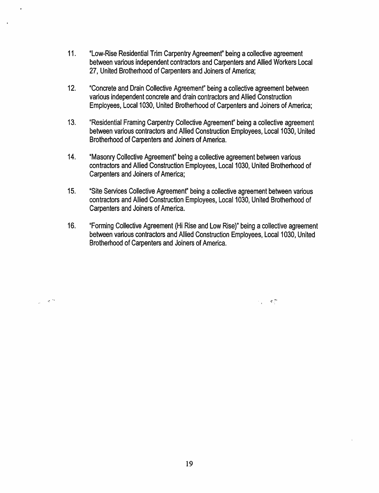- 11. "Low-Rise Residential Trim Carpentry Agreemenf' being a collective agreement between various independent contractors and Carpenters and Allied Workers Local 27, United Brotherhood of Carpenters and Joiners of America;
- 12. "Concrete and Drain Collective Agreement" being a collective agreement between various independent concrete and drain contractors and Allied Construction Employees, Local 1030, United Brotherhood of Carpenters and Joiners of America;
- 13. "Residential Framing Carpentry Collective Agreemenf' being a collective agreement between various contractors and Allied Construction Employees, Local 1030, United Brotherhood of Carpenters and Joiners of America.
- 14. "Masonry Collective Agreement" being a collective agreement between various contractors and Allied Construction Employees, Local 1030, United Brotherhood of Carpenters and Joiners of America;
- 15. "Site Services Collective Agreement" being a collective agreement between various contractors and Allied Construction Employees, Local 1030, United Brotherhood of Carpenters and Joiners of America.
- 16. "Forming Collective Agreement (Hi Rise and Low Rise}" being a collective agreement between various contractors and Allied Construction Employees, Local 1030, United Brotherhood of Carpenters and Joiners of America.

 $\mathcal{L}_{\rm eff} = 0.27$ 

 $\Delta \sim$ 

 $\omega_{\rm{max}}$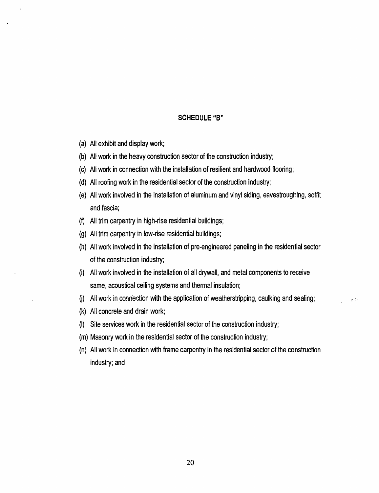#### **SCHEDULE "8"**

- (a) All exhibit and display work;
- (b) All work in the heavy construction sector of the construction industry;
- (c) All work in connection with the installation of resilient and hardwood flooring;
- (d) All roofing work in the residential sector of the construction industry;
- (e) All work involved in the installation of aluminum and vinyl siding, eavestroughing, soffit and fascia;
- ${f}$  All trim carpentry in high-rise residential buildings;
- (g) All trim carpentry in low-rise residential buildings;
- (h) All work involved in the installation of pre-engineered paneling in the residential sector of the construction industry;
- (i) All work involved in the installation of all drywall, and metal components to receive same, acoustical ceiling systems and thermal insulation;
- (i) All work in connection with the application of weatherstripping, caulking and sealing;  $\therefore$
- (k) All concrete and drain work;
- (I) Site services work in the residential sector of the construction industry;
- (m) Masonry work in the residential sector of the construction industry;
- {n) All work in connection with frame carpentry in the residential sector of the construction industry; and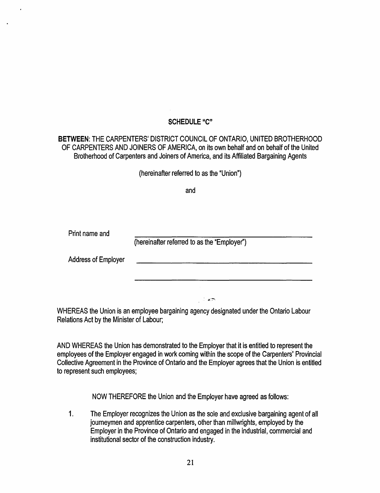# **SCHEDULE"C"**

**BETWEEN:** THE CARPENTERS' DISTRICT COUNCIL OF ONTARIO, UNITED BROTHERHOOD OF CARPENTERS AND JOINERS OF AMERICA, on its own behalf and on behalf of the United Brotherhood of Carpenters and Joiners of America, and its Affiliated Bargaining Agents

(hereinafter referred to as the "Union"}

and

Print name and

(hereinafter referred to as the "Employer"}

Address of Employer

WHEREAS the Union is an employee bargaining agency designated under the Ontario Labour Relations Act by the Minister of Labour;

 $\sim$  are

AND WHEREAS the Union has demonstrated to the Employer that it is entitled to represent the employees of the Employer engaged in work coming within the scope of the CarpenterS' Provincial Collective Agreement in the Province of Ontario and the Employer agrees that the Union is entitled to represent such employees;

NOW THEREFORE the Union and the Employer have agreed as follows:

1. The Employer recognizes the Union as the sole and exclusive bargaining agent of all journeymen and apprentice carpenters, other than millwrights, employed by the Employer in the Province of Ontario and engaged in the industrial, commercial and institutional sector of the construction industry.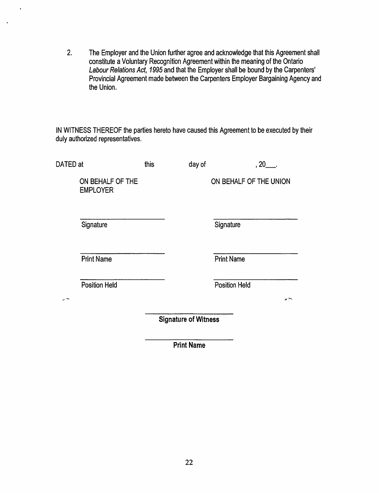2. The Employer and the Union further agree and acknowledge that this Agreement shall constitute a Voluntary Recognition Agreement within the meaning of the Ontario Labour Relations Act, 1995 and that the Employer shall be bound by the Carpenters' Provincial Agreement made between the Carpenters Employer Bargaining Agency and the Union.

 $\cdot$ 

IN WITNESS THEREOF the parties hereto have caused this Agreement to be executed by their duly authorized representatives.

| DATED at  |                                     | this                        | day of | , 20 .                     |
|-----------|-------------------------------------|-----------------------------|--------|----------------------------|
|           | ON BEHALF OF THE<br><b>EMPLOYER</b> |                             |        | ON BEHALF OF THE UNION     |
| Signature |                                     |                             |        | Signature                  |
|           | <b>Print Name</b>                   |                             |        | <b>Print Name</b>          |
| جيب       | <b>Position Held</b>                |                             |        | <b>Position Held</b><br>жņ |
|           |                                     | <b>Signature of Witness</b> |        |                            |

Print Name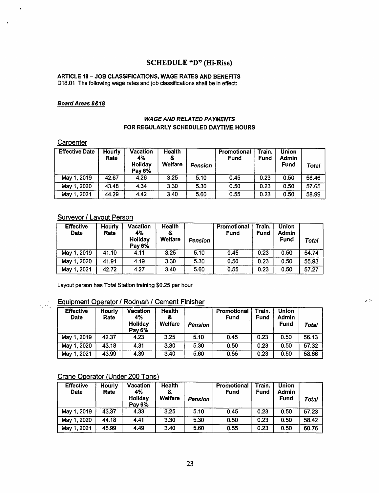# SCHEDULE "D" (Hi-Rise)

#### ARTICLE 18- JOB CLASSIFICATIONS, WAGE RATES AND BENEFITS 018.01 The following wage rates and job classifications shall be in effect:

#### **Board Areas 8&18**

#### WAGE AND RELATED PAYMENTS FOR REGULARLY SCHEDULED DAYTIME HOURS

#### Carpenter

وأماره

| <b>Effective Date</b> | Hourly<br>Rate | Vacation<br>4%<br>Holiday<br>Pay 6% | <b>Health</b><br>8<br>Welfare | Pension | Promotional<br><b>Fund</b> | Train.<br><b>Fund</b> | <b>Union</b><br><b>Admin</b><br>Fund | Total |
|-----------------------|----------------|-------------------------------------|-------------------------------|---------|----------------------------|-----------------------|--------------------------------------|-------|
| May 1, 2019           | 42.67          | 4.26                                | 3.25                          | 5.10    | 0.45                       | 0.23                  | 0.50                                 | 56.46 |
| May 1, 2020           | 43.48          | 4.34                                | 3.30                          | 5.30    | 0.50                       | 0.23                  | 0.50                                 | 57.65 |
| May 1, 2021           | 44.29          | 4.42                                | 3.40                          | 5.60    | 0.55                       | 0.23                  | 0.50                                 | 58.99 |

# Surveyor / Layout Person

| <b>Effective</b><br><b>Date</b> | <b>Hourly</b><br>Rate | Vacation<br>4%<br>Holiday<br>Pay 6% | <b>Health</b><br><b>Welfare</b> | Pension | Promotional<br>Fund | Train.<br><b>Fund</b> | <b>Union</b><br><b>Admin</b><br>Fund | Total              |
|---------------------------------|-----------------------|-------------------------------------|---------------------------------|---------|---------------------|-----------------------|--------------------------------------|--------------------|
| May 1, 2019                     | 41.10                 | 4.11                                | 3.25                            | 5.10    | 0.45                | 0.23                  | 0.50                                 | 54.74              |
| May 1, 2020                     | 41.91                 | 4.19                                | 3.30                            | 5.30    | 0.50                | 0.23                  | 0.50                                 | 55.93              |
| May 1, 2021                     | 42.72                 | 4.27                                | 3.40                            | 5.60    | 0.55                | 0.23                  | 0.50                                 | $\overline{57.27}$ |

Layout person has Total Station training \$0.25 per hour

# Equipment Operator / Rodman / Cement Finisher

| <b>Effective</b><br><b>Date</b> | Hourly<br>Rate | Vacation<br>4%<br>Holiday<br>Pay 6% | Health<br>&<br>Welfare | Pension | Promotional<br>Fund | Train.<br><b>Fund</b> | <b>Union</b><br>Admin<br><b>Fund</b> | Total |
|---------------------------------|----------------|-------------------------------------|------------------------|---------|---------------------|-----------------------|--------------------------------------|-------|
| May 1, 2019                     | 42.37          | 4.23                                | 3.25                   | 5.10    | 0.45                | 0.23                  | 0.50                                 | 56.13 |
| May 1, 2020                     | 43.18          | 4.31                                | 3.30                   | 5.30    | 0.50                | 0.23                  | 0.50                                 | 57.32 |
| May 1, 2021                     | 43.99          | 4.39                                | 3.40                   | 5.60    | 0.55                | 0.23                  | 0.50                                 | 58.66 |

с.

# Crane Operator (Under 200 Tons)

| <b>Effective</b><br><b>Date</b> | <b>Hourly</b><br>Rate | <b>Vacation</b><br>4%<br>Holiday<br><b>Pay 6%</b> | <b>Health</b><br>8<br><b>Welfare</b> | Pension | Promotional<br>Fund | Train.<br><b>Fund</b> | <b>Union</b><br><b>Admin</b><br><b>Fund</b> | Total |
|---------------------------------|-----------------------|---------------------------------------------------|--------------------------------------|---------|---------------------|-----------------------|---------------------------------------------|-------|
| May 1, 2019                     | 43.37                 | 4.33                                              | 3.25                                 | 5.10    | 0.45                | 0.23                  | 0.50                                        | 57.23 |
| May 1, 2020                     | 44.18                 | 4.41                                              | 3.30                                 | 5.30    | 0.50                | 0.23                  | 0.50                                        | 58.42 |
| May 1, 2021                     | 45.99                 | 4.49                                              | 3.40                                 | 5.60    | 0.55                | 0.23                  | 0.50                                        | 60.76 |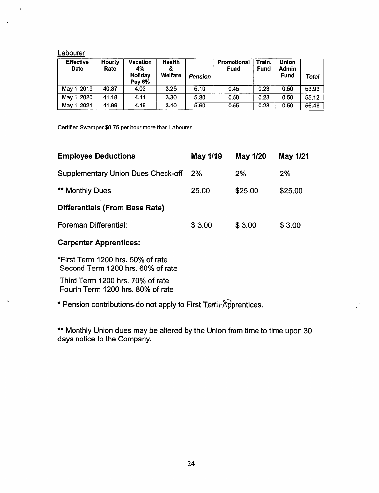#### Labourer

| <b>Effective</b><br><b>Date</b> | Hourly<br>Rate | Vacation<br>4%<br>Holiday<br>Pay 6% | Health<br>&<br><b>Welfare</b> | Pension | Promotional<br>Fund | Train.<br>Fund | Union<br>Admin<br><b>Fund</b> | Total |
|---------------------------------|----------------|-------------------------------------|-------------------------------|---------|---------------------|----------------|-------------------------------|-------|
| May 1, 2019                     | 40.37          | 4.03                                | 3.25                          | 5.10    | 0.45                | 0.23           | 0.50                          | 53.93 |
| May 1, 2020                     | 41.18          | 4.11                                | 3.30                          | 5.30    | 0.50                | 0.23           | 0.50                          | 55.12 |
| May 1, 2021                     | 41.99          | 4.19                                | 3.40                          | 5.60    | 0.55                | 0.23           | 0.50                          | 56.46 |

Certified Swamper \$0.75 per hour more than Labourer

| <b>Employee Deductions</b>            | May 1/19 | May 1/20 | May 1/21 |
|---------------------------------------|----------|----------|----------|
| Supplementary Union Dues Check-off    | 2%       | 2%       | 2%       |
| <b>** Monthly Dues</b>                | 25.00    | \$25.00  | \$25.00  |
| <b>Differentials (From Base Rate)</b> |          |          |          |
| Foreman Differential:                 | \$3.00   | \$3.00   | \$3.00   |

# Carpenter Apprentices:

 $\mathbb{Z}$ 

\*First Term 1200 hrs. 50% of rate Second Term 1200 hrs. 60% of rate

Third Term 1200 hrs. 70% of rate Fourth Term 1200 hrs. 80% of rate

\* Pension contributions-do not apply to First Terrii-Apprentices.

\*\* Monthly Union dues may be altered by the Union from time to time upon 30 days notice to the Company.